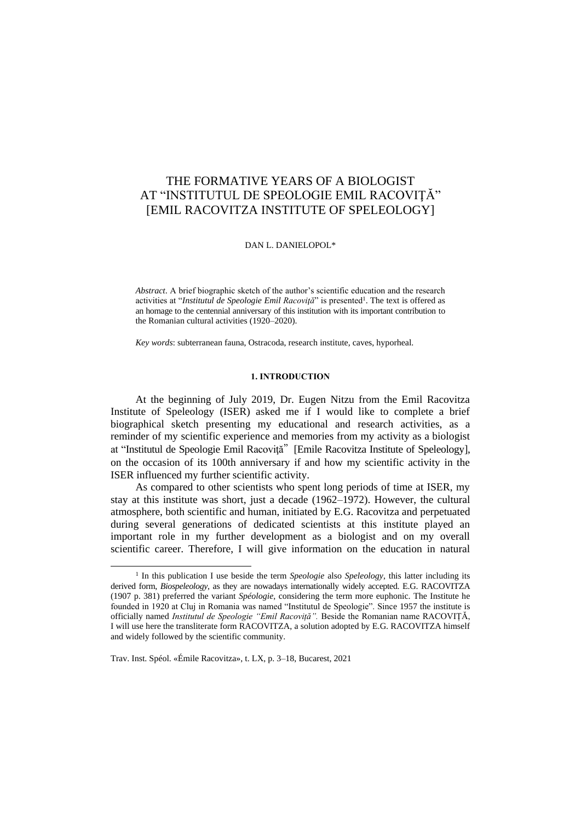# THE FORMATIVE YEARS OF A BIOLOGIST AT "INSTITUTUL DE SPEOLOGIE EMIL RACOVIŢĂ" [EMIL RACOVITZA INSTITUTE OF SPELEOLOGY]

DAN L. DANIELOPOL\*

*Abstract*. A brief biographic sketch of the author's scientific education and the research activities at "Institutul de Speologie Emil Racoviță" is presented<sup>1</sup>. The text is offered as an homage to the centennial anniversary of this institution with its important contribution to the Romanian cultural activities (1920–2020).

*Key words*: subterranean fauna, Ostracoda, research institute, caves, hyporheal.

### **1. INTRODUCTION**

At the beginning of July 2019, Dr. Eugen Nitzu from the Emil Racovitza Institute of Speleology (ISER) asked me if I would like to complete a brief biographical sketch presenting my educational and research activities, as a reminder of my scientific experience and memories from my activity as a biologist at "Institutul de Speologie Emil Racoviţă"[Emile Racovitza Institute of Speleology], on the occasion of its 100th anniversary if and how my scientific activity in the ISER influenced my further scientific activity.

As compared to other scientists who spent long periods of time at ISER, my stay at this institute was short, just a decade (1962–1972). However, the cultural atmosphere, both scientific and human, initiated by E.G. Racovitza and perpetuated during several generations of dedicated scientists at this institute played an important role in my further development as a biologist and on my overall scientific career. Therefore, I will give information on the education in natural

Trav. Inst. Spéol. «Émile Racovitza», t. LX, p. 3–18, Bucarest, 2021

 $\overline{\phantom{a}}$ 

<sup>&</sup>lt;sup>1</sup> In this publication I use beside the term *Speologie* also *Speleology*, this latter including its derived form, *Biospeleology*, as they are nowadays internationally widely accepted. E.G. RACOVITZA (1907 p. 381) preferred the variant *Spéologie*, considering the term more euphonic. The Institute he founded in 1920 at Cluj in Romania was named "Institutul de Speologie". Since 1957 the institute is officially named *Institutul de Speologie "Emil Racoviță".* Beside the Romanian name RACOVIȚĂ, I will use here the transliterate form RACOVITZA, a solution adopted by E.G. RACOVITZA himself and widely followed by the scientific community.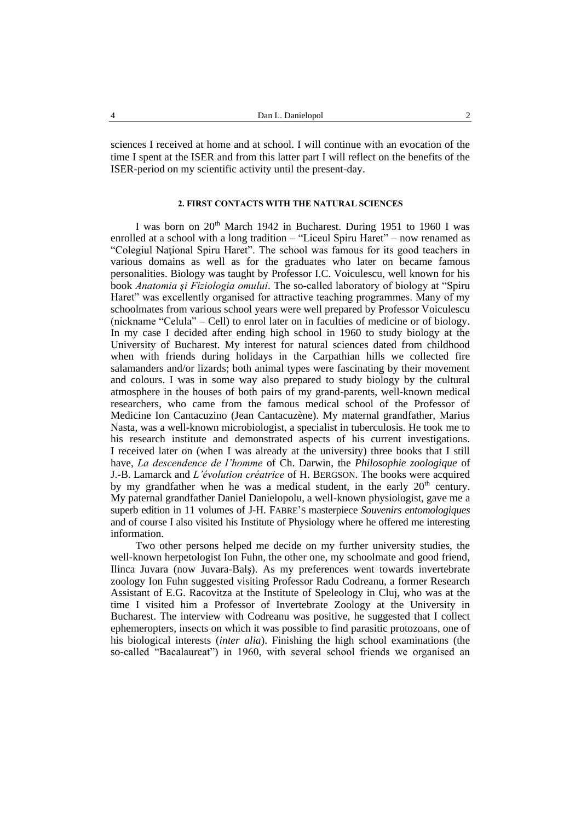sciences I received at home and at school. I will continue with an evocation of the time I spent at the ISER and from this latter part I will reflect on the benefits of the ISER-period on my scientific activity until the present-day.

## **2. FIRST CONTACTS WITH THE NATURAL SCIENCES**

I was born on  $20<sup>th</sup>$  March 1942 in Bucharest. During 1951 to 1960 I was enrolled at a school with a long tradition – "Liceul Spiru Haret" – now renamed as "Colegiul Naţional Spiru Haret". The school was famous for its good teachers in various domains as well as for the graduates who later on became famous personalities. Biology was taught by Professor I.C. Voiculescu, well known for his book *Anatomia şi Fiziologia omului*. The so-called laboratory of biology at "Spiru Haret" was excellently organised for attractive teaching programmes. Many of my schoolmates from various school years were well prepared by Professor Voiculescu (nickname "Celula" – Cell) to enrol later on in faculties of medicine or of biology. In my case I decided after ending high school in 1960 to study biology at the University of Bucharest. My interest for natural sciences dated from childhood when with friends during holidays in the Carpathian hills we collected fire salamanders and/or lizards; both animal types were fascinating by their movement and colours. I was in some way also prepared to study biology by the cultural atmosphere in the houses of both pairs of my grand-parents, well-known medical researchers, who came from the famous medical school of the Professor of Medicine Ion Cantacuzino (Jean Cantacuzène). My maternal grandfather, Marius Nasta, was a well-known microbiologist, a specialist in tuberculosis. He took me to his research institute and demonstrated aspects of his current investigations. I received later on (when I was already at the university) three books that I still have, *La descendence de l'homme* of Ch. Darwin, the *Philosophie zoologique* of J.-B. Lamarck and *L'évolution créatrice* of H. BERGSON. The books were acquired by my grandfather when he was a medical student, in the early  $20<sup>th</sup>$  century. My paternal grandfather Daniel Danielopolu, a well-known physiologist, gave me a superb edition in 11 volumes of J-H. FABRE'S masterpiece *Souvenirs entomologiques* and of course I also visited his Institute of Physiology where he offered me interesting information.

Two other persons helped me decide on my further university studies, the well-known herpetologist Ion Fuhn, the other one, my schoolmate and good friend, Ilinca Juvara (now Juvara-Balş). As my preferences went towards invertebrate zoology Ion Fuhn suggested visiting Professor Radu Codreanu, a former Research Assistant of E.G. Racovitza at the Institute of Speleology in Cluj, who was at the time I visited him a Professor of Invertebrate Zoology at the University in Bucharest. The interview with Codreanu was positive, he suggested that I collect ephemeropters, insects on which it was possible to find parasitic protozoans, one of his biological interests (*inter alia*). Finishing the high school examinations (the so-called "Bacalaureat") in 1960, with several school friends we organised an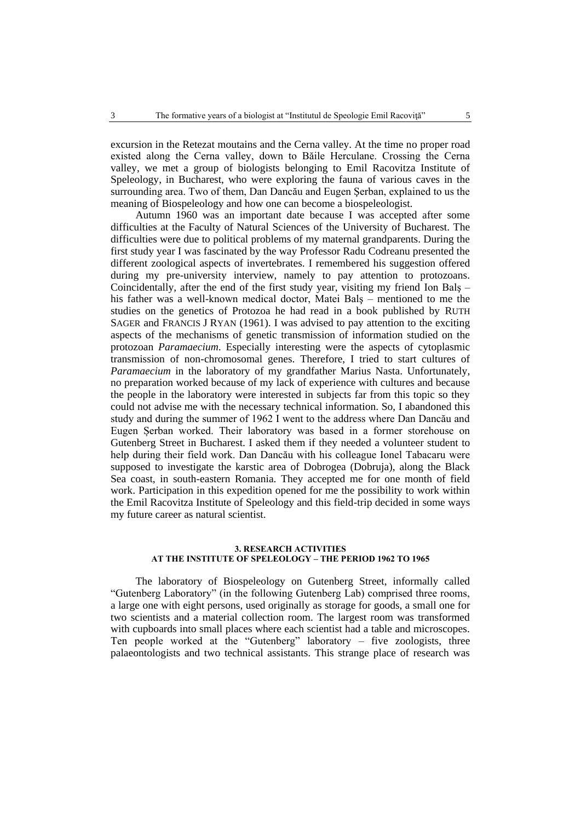excursion in the Retezat moutains and the Cerna valley. At the time no proper road existed along the Cerna valley, down to Băile Herculane. Crossing the Cerna valley, we met a group of biologists belonging to Emil Racovitza Institute of Speleology, in Bucharest, who were exploring the fauna of various caves in the surrounding area. Two of them, Dan Dancău and Eugen Şerban, explained to us the meaning of Biospeleology and how one can become a biospeleologist.

Autumn 1960 was an important date because I was accepted after some difficulties at the Faculty of Natural Sciences of the University of Bucharest. The difficulties were due to political problems of my maternal grandparents. During the first study year I was fascinated by the way Professor Radu Codreanu presented the different zoological aspects of invertebrates. I remembered his suggestion offered during my pre-university interview, namely to pay attention to protozoans. Coincidentally, after the end of the first study year, visiting my friend Ion Balş – his father was a well-known medical doctor, Matei Balş – mentioned to me the studies on the genetics of Protozoa he had read in a book published by RUTH SAGER and FRANCIS J RYAN (1961). I was advised to pay attention to the exciting aspects of the mechanisms of genetic transmission of information studied on the protozoan *Paramaecium*. Especially interesting were the aspects of cytoplasmic transmission of non-chromosomal genes. Therefore, I tried to start cultures of *Paramaecium* in the laboratory of my grandfather Marius Nasta. Unfortunately, no preparation worked because of my lack of experience with cultures and because the people in the laboratory were interested in subjects far from this topic so they could not advise me with the necessary technical information. So, I abandoned this study and during the summer of 1962 I went to the address where Dan Dancău and Eugen Șerban worked. Their laboratory was based in a former storehouse on Gutenberg Street in Bucharest. I asked them if they needed a volunteer student to help during their field work. Dan Dancău with his colleague Ionel Tabacaru were supposed to investigate the karstic area of Dobrogea (Dobruja), along the Black Sea coast, in south-eastern Romania. They accepted me for one month of field work. Participation in this expedition opened for me the possibility to work within the Emil Racovitza Institute of Speleology and this field-trip decided in some ways my future career as natural scientist.

### **3. RESEARCH ACTIVITIES AT THE INSTITUTE OF SPELEOLOGY – THE PERIOD 1962 TO 1965**

The laboratory of Biospeleology on Gutenberg Street, informally called "Gutenberg Laboratory" (in the following Gutenberg Lab) comprised three rooms, a large one with eight persons, used originally as storage for goods, a small one for two scientists and a material collection room. The largest room was transformed with cupboards into small places where each scientist had a table and microscopes. Ten people worked at the "Gutenberg" laboratory – five zoologists, three palaeontologists and two technical assistants. This strange place of research was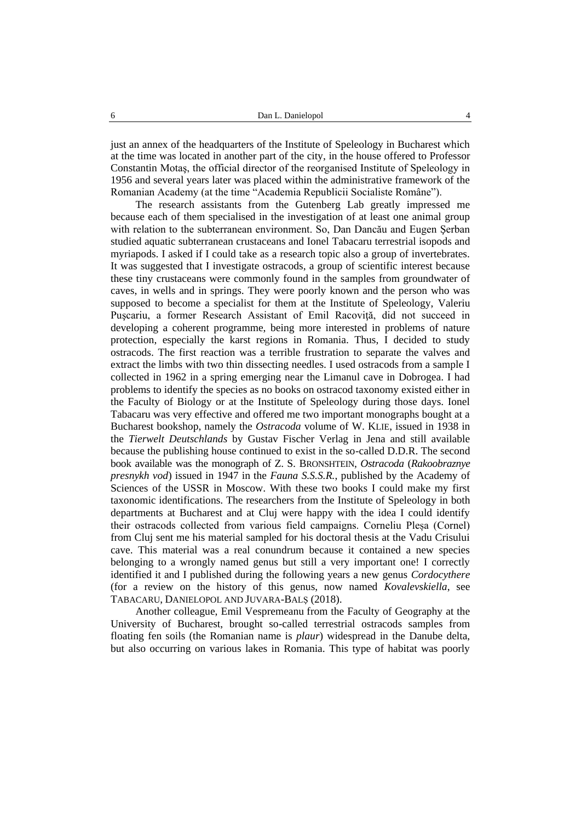just an annex of the headquarters of the Institute of Speleology in Bucharest which at the time was located in another part of the city, in the house offered to Professor Constantin Motaş, the official director of the reorganised Institute of Speleology in 1956 and several years later was placed within the administrative framework of the Romanian Academy (at the time "Academia Republicii Socialiste Române").

The research assistants from the Gutenberg Lab greatly impressed me because each of them specialised in the investigation of at least one animal group with relation to the subterranean environment. So, Dan Dancău and Eugen Şerban studied aquatic subterranean crustaceans and Ionel Tabacaru terrestrial isopods and myriapods. I asked if I could take as a research topic also a group of invertebrates. It was suggested that I investigate ostracods, a group of scientific interest because these tiny crustaceans were commonly found in the samples from groundwater of caves, in wells and in springs. They were poorly known and the person who was supposed to become a specialist for them at the Institute of Speleology, Valeriu Puşcariu, a former Research Assistant of Emil Racoviţă, did not succeed in developing a coherent programme, being more interested in problems of nature protection, especially the karst regions in Romania. Thus, I decided to study ostracods. The first reaction was a terrible frustration to separate the valves and extract the limbs with two thin dissecting needles. I used ostracods from a sample I collected in 1962 in a spring emerging near the Limanul cave in Dobrogea. I had problems to identify the species as no books on ostracod taxonomy existed either in the Faculty of Biology or at the Institute of Speleology during those days. Ionel Tabacaru was very effective and offered me two important monographs bought at a Bucharest bookshop, namely the *Ostracoda* volume of W. KLIE, issued in 1938 in the *Tierwelt Deutschlands* by Gustav Fischer Verlag in Jena and still available because the publishing house continued to exist in the so-called D.D.R. The second book available was the monograph of Z. S. BRONSHTEIN, *Ostracoda* (*Rakoobraznye presnykh vod*) issued in 1947 in the *Fauna S.S.S.R.*, published by the Academy of Sciences of the USSR in Moscow. With these two books I could make my first taxonomic identifications. The researchers from the Institute of Speleology in both departments at Bucharest and at Cluj were happy with the idea I could identify their ostracods collected from various field campaigns. Corneliu Pleșa (Cornel) from Cluj sent me his material sampled for his doctoral thesis at the Vadu Crisului cave. This material was a real conundrum because it contained a new species belonging to a wrongly named genus but still a very important one! I correctly identified it and I published during the following years a new genus *Cordocythere* (for a review on the history of this genus, now named *Kovalevskiella*, see TABACARU, DANIELOPOL AND JUVARA-BALŞ (2018).

Another colleague, Emil Vespremeanu from the Faculty of Geography at the University of Bucharest, brought so-called terrestrial ostracods samples from floating fen soils (the Romanian name is *plaur*) widespread in the Danube delta, but also occurring on various lakes in Romania. This type of habitat was poorly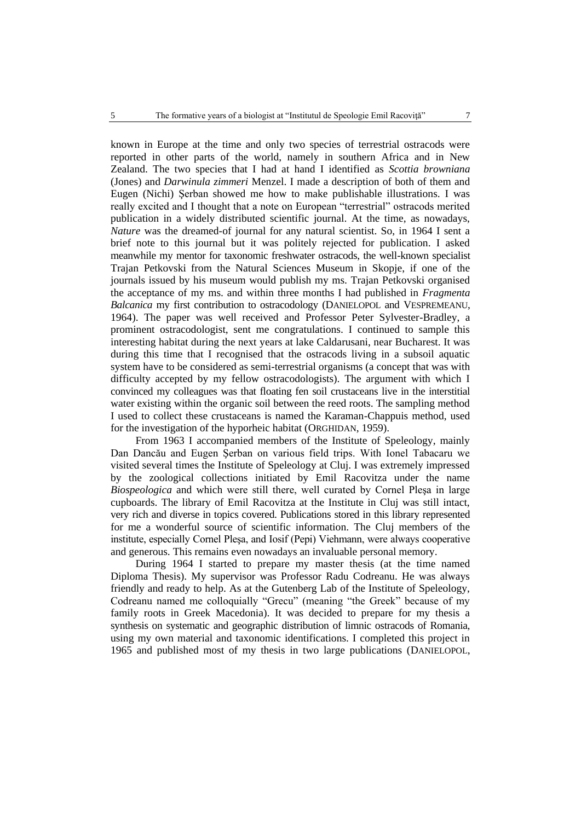known in Europe at the time and only two species of terrestrial ostracods were reported in other parts of the world, namely in southern Africa and in New Zealand. The two species that I had at hand I identified as *Scottia browniana* (Jones) and *Darwinula zimmeri* Menzel. I made a description of both of them and Eugen (Nichi) Şerban showed me how to make publishable illustrations. I was really excited and I thought that a note on European "terrestrial" ostracods merited publication in a widely distributed scientific journal. At the time, as nowadays, *Nature* was the dreamed-of journal for any natural scientist. So, in 1964 I sent a brief note to this journal but it was politely rejected for publication. I asked meanwhile my mentor for taxonomic freshwater ostracods, the well-known specialist Trajan Petkovski from the Natural Sciences Museum in Skopje, if one of the journals issued by his museum would publish my ms. Trajan Petkovski organised the acceptance of my ms. and within three months I had published in *Fragmenta Balcanica* my first contribution to ostracodology (DANIELOPOL and VESPREMEANU, 1964). The paper was well received and Professor Peter Sylvester-Bradley, a prominent ostracodologist, sent me congratulations. I continued to sample this interesting habitat during the next years at lake Caldarusani, near Bucharest. It was during this time that I recognised that the ostracods living in a subsoil aquatic system have to be considered as semi-terrestrial organisms (a concept that was with difficulty accepted by my fellow ostracodologists). The argument with which I convinced my colleagues was that floating fen soil crustaceans live in the interstitial water existing within the organic soil between the reed roots. The sampling method I used to collect these crustaceans is named the Karaman-Chappuis method, used for the investigation of the hyporheic habitat (ORGHIDAN, 1959).

From 1963 I accompanied members of the Institute of Speleology, mainly Dan Dancău and Eugen Şerban on various field trips. With Ionel Tabacaru we visited several times the Institute of Speleology at Cluj. I was extremely impressed by the zoological collections initiated by Emil Racovitza under the name *Biospeologica* and which were still there, well curated by Cornel Pleşa in large cupboards. The library of Emil Racovitza at the Institute in Cluj was still intact, very rich and diverse in topics covered. Publications stored in this library represented for me a wonderful source of scientific information. The Cluj members of the institute, especially Cornel Pleşa, and Iosif (Pepi) Viehmann, were always cooperative and generous. This remains even nowadays an invaluable personal memory.

During 1964 I started to prepare my master thesis (at the time named Diploma Thesis). My supervisor was Professor Radu Codreanu. He was always friendly and ready to help. As at the Gutenberg Lab of the Institute of Speleology, Codreanu named me colloquially "Grecu" (meaning "the Greek" because of my family roots in Greek Macedonia). It was decided to prepare for my thesis a synthesis on systematic and geographic distribution of limnic ostracods of Romania, using my own material and taxonomic identifications. I completed this project in 1965 and published most of my thesis in two large publications (DANIELOPOL,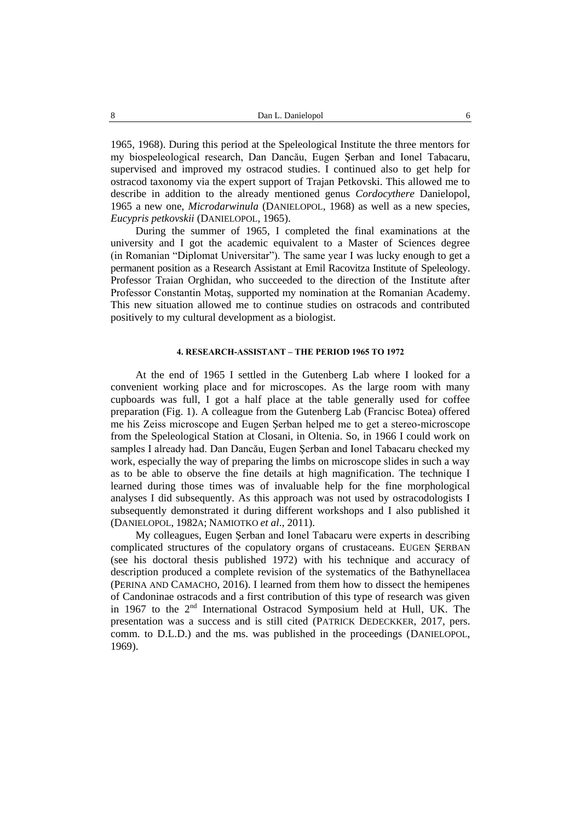1965, 1968). During this period at the Speleological Institute the three mentors for my biospeleological research, Dan Dancău, Eugen Şerban and Ionel Tabacaru, supervised and improved my ostracod studies. I continued also to get help for ostracod taxonomy via the expert support of Trajan Petkovski. This allowed me to describe in addition to the already mentioned genus *Cordocythere* Danielopol, 1965 a new one, *Microdarwinula* (DANIELOPOL, 1968) as well as a new species, *Eucypris petkovskii* (DANIELOPOL, 1965).

During the summer of 1965, I completed the final examinations at the university and I got the academic equivalent to a Master of Sciences degree (in Romanian "Diplomat Universitar"). The same year I was lucky enough to get a permanent position as a Research Assistant at Emil Racovitza Institute of Speleology. Professor Traian Orghidan, who succeeded to the direction of the Institute after Professor Constantin Motaş, supported my nomination at the Romanian Academy. This new situation allowed me to continue studies on ostracods and contributed positively to my cultural development as a biologist.

## **4. RESEARCH-ASSISTANT – THE PERIOD 1965 TO 1972**

At the end of 1965 I settled in the Gutenberg Lab where I looked for a convenient working place and for microscopes. As the large room with many cupboards was full, I got a half place at the table generally used for coffee preparation (Fig. 1). A colleague from the Gutenberg Lab (Francisc Botea) offered me his Zeiss microscope and Eugen Şerban helped me to get a stereo-microscope from the Speleological Station at Closani, in Oltenia. So, in 1966 I could work on samples I already had. Dan Dancău, Eugen Şerban and Ionel Tabacaru checked my work, especially the way of preparing the limbs on microscope slides in such a way as to be able to observe the fine details at high magnification. The technique I learned during those times was of invaluable help for the fine morphological analyses I did subsequently. As this approach was not used by ostracodologists I subsequently demonstrated it during different workshops and I also published it (DANIELOPOL, 1982A; NAMIOTKO *et al*., 2011).

My colleagues, Eugen Şerban and Ionel Tabacaru were experts in describing complicated structures of the copulatory organs of crustaceans. EUGEN ŞERBAN (see his doctoral thesis published 1972) with his technique and accuracy of description produced a complete revision of the systematics of the Bathynellacea (PERINA AND CAMACHO, 2016). I learned from them how to dissect the hemipenes of Candoninae ostracods and a first contribution of this type of research was given in 1967 to the 2<sup>nd</sup> International Ostracod Symposium held at Hull, UK. The presentation was a success and is still cited (PATRICK DEDECKKER, 2017, pers. comm. to D.L.D.) and the ms. was published in the proceedings (DANIELOPOL, 1969).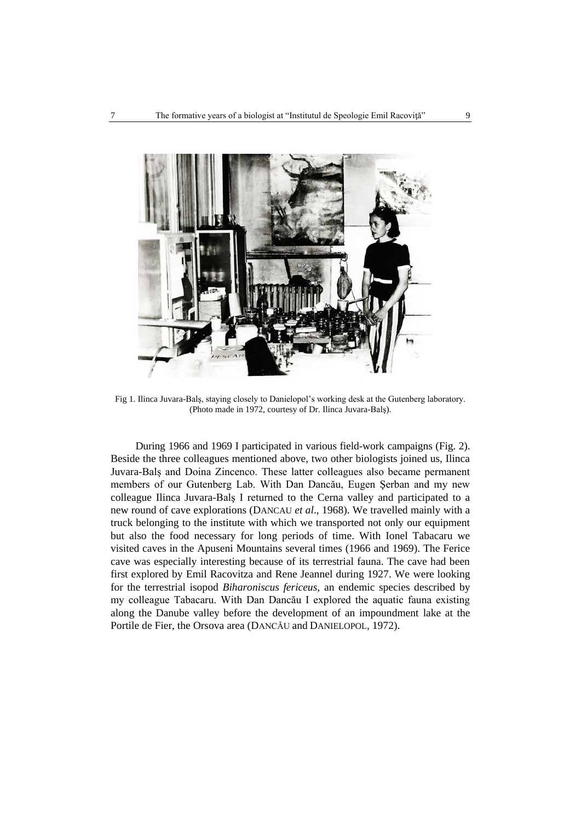

Fig 1. Ilinca Juvara-Balş, staying closely to Danielopol's working desk at the Gutenberg laboratory. (Photo made in 1972, courtesy of Dr. Ilinca Juvara-Balş).

During 1966 and 1969 I participated in various field-work campaigns (Fig. 2). Beside the three colleagues mentioned above, two other biologists joined us, Ilinca Juvara-Balș and Doina Zincenco. These latter colleagues also became permanent members of our Gutenberg Lab. With Dan Dancău, Eugen Şerban and my new colleague Ilinca Juvara-Balş I returned to the Cerna valley and participated to a new round of cave explorations (DANCAU *et al*., 1968). We travelled mainly with a truck belonging to the institute with which we transported not only our equipment but also the food necessary for long periods of time. With Ionel Tabacaru we visited caves in the Apuseni Mountains several times (1966 and 1969). The Ferice cave was especially interesting because of its terrestrial fauna. The cave had been first explored by Emil Racovitza and Rene Jeannel during 1927. We were looking for the terrestrial isopod *Biharoniscus fericeus,* an endemic species described by my colleague Tabacaru. With Dan Dancău I explored the aquatic fauna existing along the Danube valley before the development of an impoundment lake at the Portile de Fier, the Orsova area (DANCĂU and DANIELOPOL, 1972).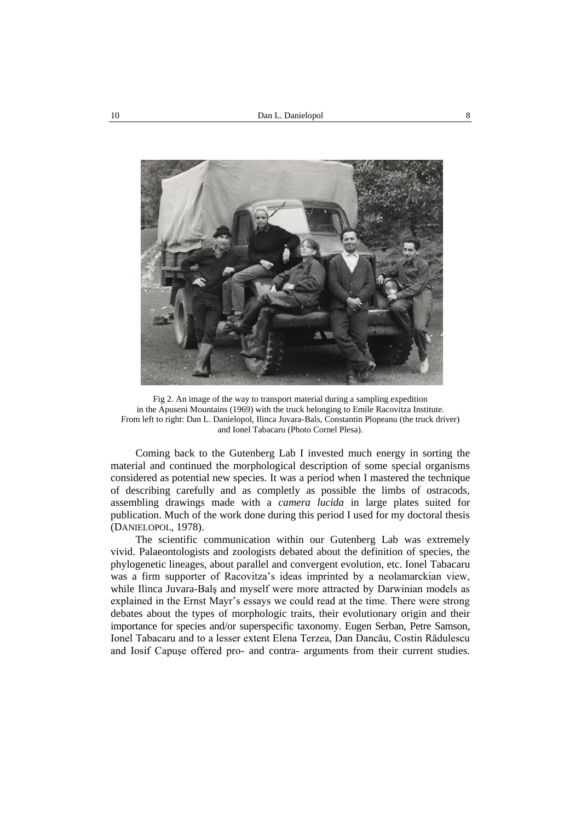

Fig 2. An image of the way to transport material during a sampling expedition in the Apuseni Mountains (1969) with the truck belonging to Emile Racovitza Institute. From left to right: Dan L. Danielopol, Ilinca Juvara-Bals, Constantin Plopeanu (the truck driver) and Ionel Tabacaru (Photo Cornel Plesa).

Coming back to the Gutenberg Lab I invested much energy in sorting the material and continued the morphological description of some special organisms considered as potential new species. It was a period when I mastered the technique of describing carefully and as completly as possible the limbs of ostracods, assembling drawings made with a *camera lucida* in large plates suited for publication. Much of the work done during this period I used for my doctoral thesis (DANIELOPOL, 1978).

The scientific communication within our Gutenberg Lab was extremely vivid. Palaeontologists and zoologists debated about the definition of species, the phylogenetic lineages, about parallel and convergent evolution, etc. Ionel Tabacaru was a firm supporter of Racovitza's ideas imprinted by a neolamarckian view, while Ilinca Juvara-Balş and myself were more attracted by Darwinian models as explained in the Ernst Mayr's essays we could read at the time. There were strong debates about the types of morphologic traits, their evolutionary origin and their importance for species and/or superspecific taxonomy. Eugen Serban, Petre Samson, Ionel Tabacaru and to a lesser extent Elena Terzea, Dan Dancău, Costin Rădulescu and Iosif Capuşe offered pro- and contra- arguments from their current studies.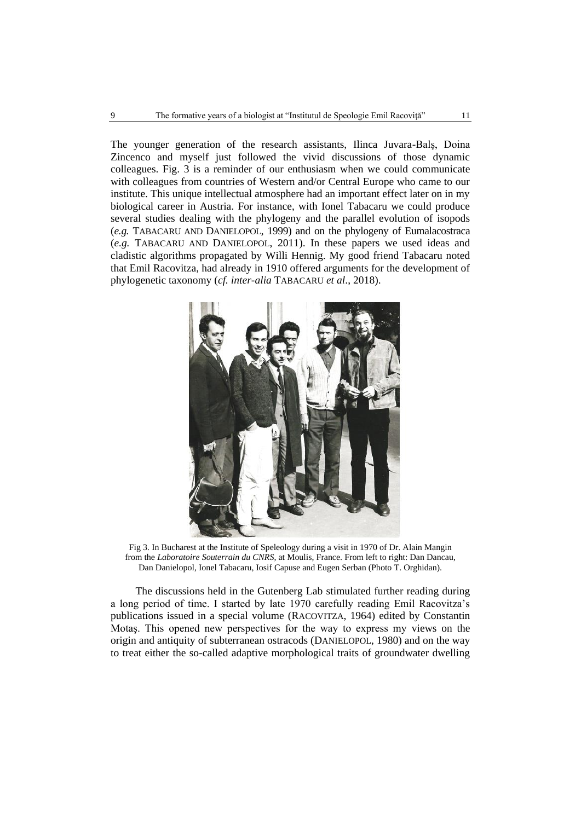The younger generation of the research assistants, Ilinca Juvara-Balş, Doina Zincenco and myself just followed the vivid discussions of those dynamic colleagues. Fig. 3 is a reminder of our enthusiasm when we could communicate with colleagues from countries of Western and/or Central Europe who came to our institute. This unique intellectual atmosphere had an important effect later on in my biological career in Austria. For instance, with Ionel Tabacaru we could produce several studies dealing with the phylogeny and the parallel evolution of isopods (*e.g.* TABACARU AND DANIELOPOL, 1999) and on the phylogeny of Eumalacostraca (*e.g.* TABACARU AND DANIELOPOL, 2011). In these papers we used ideas and cladistic algorithms propagated by Willi Hennig. My good friend Tabacaru noted that Emil Racovitza, had already in 1910 offered arguments for the development of phylogenetic taxonomy (*cf. inter-alia* TABACARU *et al*., 2018).



Fig 3. In Bucharest at the Institute of Speleology during a visit in 1970 of Dr. Alain Mangin from the *Laboratoire Souterrain du CNRS*, at Moulis, France. From left to right: Dan Dancau, Dan Danielopol, Ionel Tabacaru, Iosif Capuse and Eugen Serban (Photo T. Orghidan).

The discussions held in the Gutenberg Lab stimulated further reading during a long period of time. I started by late 1970 carefully reading Emil Racovitza's publications issued in a special volume (RACOVITZA, 1964) edited by Constantin Motaş. This opened new perspectives for the way to express my views on the origin and antiquity of subterranean ostracods (DANIELOPOL, 1980) and on the way to treat either the so-called adaptive morphological traits of groundwater dwelling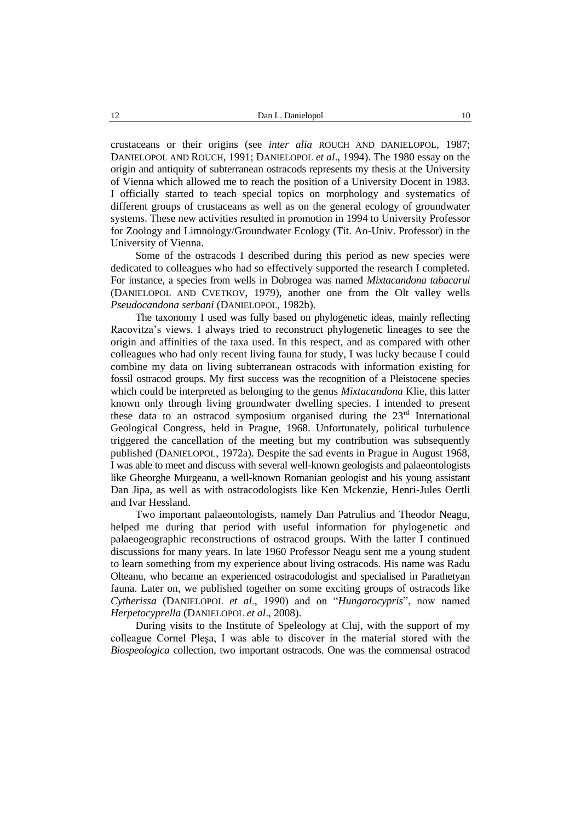crustaceans or their origins (see *inter alia* ROUCH AND DANIELOPOL, 1987; DANIELOPOL AND ROUCH, 1991; DANIELOPOL *et al*., 1994). The 1980 essay on the origin and antiquity of subterranean ostracods represents my thesis at the University of Vienna which allowed me to reach the position of a University Docent in 1983. I officially started to teach special topics on morphology and systematics of different groups of crustaceans as well as on the general ecology of groundwater systems. These new activities resulted in promotion in 1994 to University Professor for Zoology and Limnology/Groundwater Ecology (Tit. Ao-Univ. Professor) in the University of Vienna.

Some of the ostracods I described during this period as new species were dedicated to colleagues who had so effectively supported the research I completed. For instance, a species from wells in Dobrogea was named *Mixtacandona tabacarui* (DANIELOPOL AND CVETKOV, 1979), another one from the Olt valley wells *Pseudocandona serbani* (DANIELOPOL, 1982b).

The taxonomy I used was fully based on phylogenetic ideas, mainly reflecting Racovitza's views. I always tried to reconstruct phylogenetic lineages to see the origin and affinities of the taxa used. In this respect, and as compared with other colleagues who had only recent living fauna for study, I was lucky because I could combine my data on living subterranean ostracods with information existing for fossil ostracod groups. My first success was the recognition of a Pleistocene species which could be interpreted as belonging to the genus *Mixtacandona* Klie, this latter known only through living groundwater dwelling species. I intended to present these data to an ostracod symposium organised during the  $23<sup>rd</sup>$  International Geological Congress, held in Prague, 1968. Unfortunately, political turbulence triggered the cancellation of the meeting but my contribution was subsequently published (DANIELOPOL, 1972a). Despite the sad events in Prague in August 1968, I was able to meet and discuss with several well-known geologists and palaeontologists like Gheorghe Murgeanu, a well-known Romanian geologist and his young assistant Dan Jipa, as well as with ostracodologists like Ken Mckenzie, Henri-Jules Oertli and Ivar Hessland.

Two important palaeontologists, namely Dan Patrulius and Theodor Neagu, helped me during that period with useful information for phylogenetic and palaeogeographic reconstructions of ostracod groups. With the latter I continued discussions for many years. In late 1960 Professor Neagu sent me a young student to learn something from my experience about living ostracods. His name was Radu Olteanu, who became an experienced ostracodologist and specialised in Parathetyan fauna. Later on, we published together on some exciting groups of ostracods like *Cytherissa* (DANIELOPOL *et al*., 1990) and on "*Hungarocypris*", now named *Herpetocyprella* (DANIELOPOL *et al*., 2008).

During visits to the Institute of Speleology at Cluj, with the support of my colleague Cornel Pleşa, I was able to discover in the material stored with the *Biospeologica* collection, two important ostracods. One was the commensal ostracod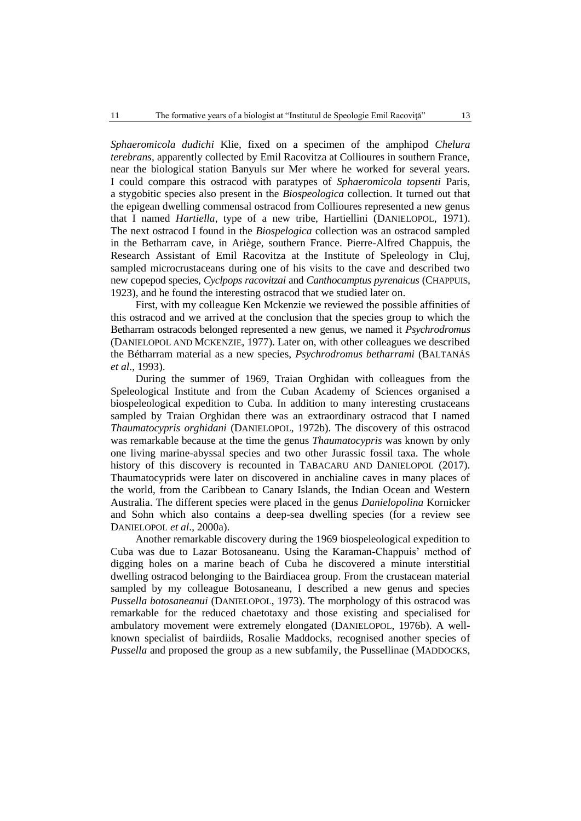*Sphaeromicola dudichi* Klie, fixed on a specimen of the amphipod *Chelura terebrans,* apparently collected by Emil Racovitza at Collioures in southern France, near the biological station Banyuls sur Mer where he worked for several years. I could compare this ostracod with paratypes of *Sphaeromicola topsenti* Paris, a stygobitic species also present in the *Biospeologica* collection. It turned out that the epigean dwelling commensal ostracod from Collioures represented a new genus that I named *Hartiella*, type of a new tribe, Hartiellini (DANIELOPOL, 1971). The next ostracod I found in the *Biospelogica* collection was an ostracod sampled in the Betharram cave, in Ariège, southern France. Pierre-Alfred Chappuis, the Research Assistant of Emil Racovitza at the Institute of Speleology in Cluj, sampled microcrustaceans during one of his visits to the cave and described two new copepod species, *Cyclpops racovitzai* and *Canthocamptus pyrenaicus* (CHAPPUIS, 1923), and he found the interesting ostracod that we studied later on.

First, with my colleague Ken Mckenzie we reviewed the possible affinities of this ostracod and we arrived at the conclusion that the species group to which the Betharram ostracods belonged represented a new genus, we named it *Psychrodromus* (DANIELOPOL AND MCKENZIE, 1977). Later on, with other colleagues we described the Bétharram material as a new species, *Psychrodromus betharrami* (BALTANÁS *et al*., 1993).

During the summer of 1969, Traian Orghidan with colleagues from the Speleological Institute and from the Cuban Academy of Sciences organised a biospeleological expedition to Cuba. In addition to many interesting crustaceans sampled by Traian Orghidan there was an extraordinary ostracod that I named *Thaumatocypris orghidani* (DANIELOPOL, 1972b). The discovery of this ostracod was remarkable because at the time the genus *Thaumatocypris* was known by only one living marine-abyssal species and two other Jurassic fossil taxa. The whole history of this discovery is recounted in TABACARU AND DANIELOPOL (2017). Thaumatocyprids were later on discovered in anchialine caves in many places of the world, from the Caribbean to Canary Islands, the Indian Ocean and Western Australia. The different species were placed in the genus *Danielopolina* Kornicker and Sohn which also contains a deep-sea dwelling species (for a review see DANIELOPOL *et al*., 2000a).

Another remarkable discovery during the 1969 biospeleological expedition to Cuba was due to Lazar Botosaneanu. Using the Karaman-Chappuis' method of digging holes on a marine beach of Cuba he discovered a minute interstitial dwelling ostracod belonging to the Bairdiacea group. From the crustacean material sampled by my colleague Botosaneanu, I described a new genus and species *Pussella botosaneanui* (DANIELOPOL, 1973). The morphology of this ostracod was remarkable for the reduced chaetotaxy and those existing and specialised for ambulatory movement were extremely elongated (DANIELOPOL, 1976b). A wellknown specialist of bairdiids, Rosalie Maddocks, recognised another species of *Pussella* and proposed the group as a new subfamily, the Pussellinae (MADDOCKS,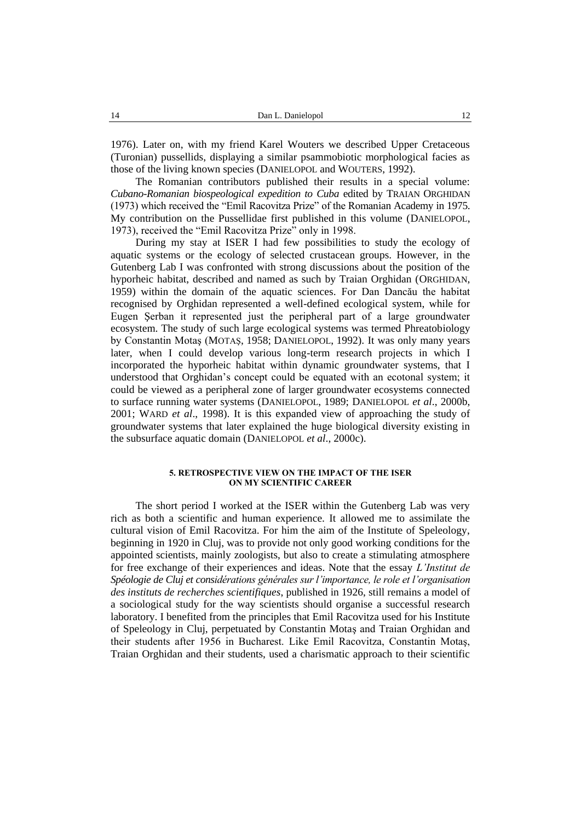1976). Later on, with my friend Karel Wouters we described Upper Cretaceous (Turonian) pussellids, displaying a similar psammobiotic morphological facies as those of the living known species (DANIELOPOL and WOUTERS, 1992).

The Romanian contributors published their results in a special volume: *Cubano-Romanian biospeological expedition to Cuba* edited by TRAIAN ORGHIDAN (1973) which received the "Emil Racovitza Prize" of the Romanian Academy in 1975. My contribution on the Pussellidae first published in this volume (DANIELOPOL, 1973), received the "Emil Racovitza Prize" only in 1998.

During my stay at ISER I had few possibilities to study the ecology of aquatic systems or the ecology of selected crustacean groups. However, in the Gutenberg Lab I was confronted with strong discussions about the position of the hyporheic habitat, described and named as such by Traian Orghidan (ORGHIDAN, 1959) within the domain of the aquatic sciences. For Dan Dancău the habitat recognised by Orghidan represented a well-defined ecological system, while for Eugen Şerban it represented just the peripheral part of a large groundwater ecosystem. The study of such large ecological systems was termed Phreatobiology by Constantin Motaş (MOTAŞ, 1958; DANIELOPOL, 1992). It was only many years later, when I could develop various long-term research projects in which I incorporated the hyporheic habitat within dynamic groundwater systems, that I understood that Orghidan's concept could be equated with an ecotonal system; it could be viewed as a peripheral zone of larger groundwater ecosystems connected to surface running water systems (DANIELOPOL, 1989; DANIELOPOL *et al*., 2000b, 2001; WARD *et al*., 1998). It is this expanded view of approaching the study of groundwater systems that later explained the huge biological diversity existing in the subsurface aquatic domain (DANIELOPOL *et al*., 2000c).

## **5. RETROSPECTIVE VIEW ON THE IMPACT OF THE ISER ON MY SCIENTIFIC CAREER**

The short period I worked at the ISER within the Gutenberg Lab was very rich as both a scientific and human experience. It allowed me to assimilate the cultural vision of Emil Racovitza. For him the aim of the Institute of Speleology, beginning in 1920 in Cluj, was to provide not only good working conditions for the appointed scientists, mainly zoologists, but also to create a stimulating atmosphere for free exchange of their experiences and ideas. Note that the essay *L'Institut de Spéologie de Cluj et considérations générales sur l'importance, le role et l'organisation des instituts de recherches scientifiques*, published in 1926, still remains a model of a sociological study for the way scientists should organise a successful research laboratory. I benefited from the principles that Emil Racovitza used for his Institute of Speleology in Cluj, perpetuated by Constantin Motaş and Traian Orghidan and their students after 1956 in Bucharest. Like Emil Racovitza, Constantin Motaş, Traian Orghidan and their students, used a charismatic approach to their scientific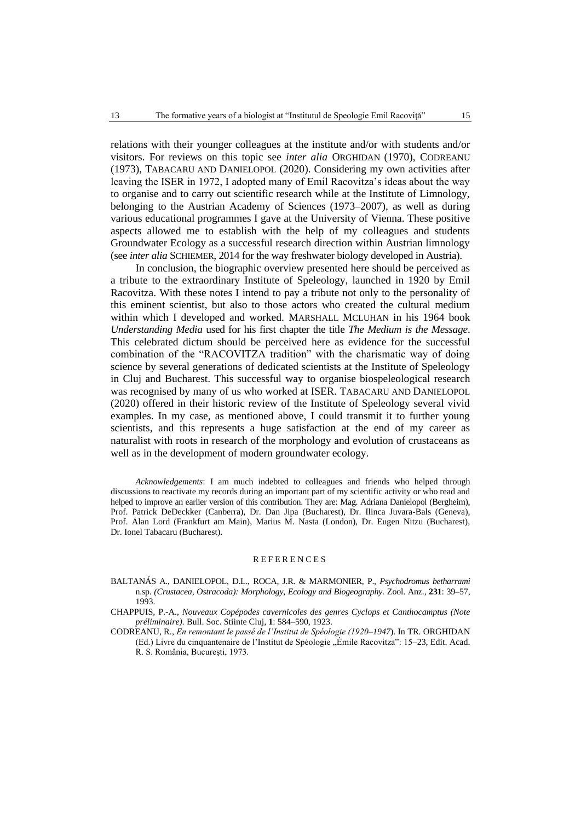relations with their younger colleagues at the institute and/or with students and/or visitors. For reviews on this topic see *inter alia* ORGHIDAN (1970), CODREANU (1973), TABACARU AND DANIELOPOL (2020). Considering my own activities after leaving the ISER in 1972, I adopted many of Emil Racovitza's ideas about the way to organise and to carry out scientific research while at the Institute of Limnology, belonging to the Austrian Academy of Sciences (1973–2007), as well as during various educational programmes I gave at the University of Vienna. These positive aspects allowed me to establish with the help of my colleagues and students Groundwater Ecology as a successful research direction within Austrian limnology (see *inter alia* SCHIEMER, 2014 for the way freshwater biology developed in Austria).

In conclusion, the biographic overview presented here should be perceived as a tribute to the extraordinary Institute of Speleology, launched in 1920 by Emil Racovitza. With these notes I intend to pay a tribute not only to the personality of this eminent scientist, but also to those actors who created the cultural medium within which I developed and worked. MARSHALL MCLUHAN in his 1964 book *Understanding Media* used for his first chapter the title *The Medium is the Message*. This celebrated dictum should be perceived here as evidence for the successful combination of the "RACOVITZA tradition" with the charismatic way of doing science by several generations of dedicated scientists at the Institute of Speleology in Cluj and Bucharest. This successful way to organise biospeleological research was recognised by many of us who worked at ISER. TABACARU AND DANIELOPOL (2020) offered in their historic review of the Institute of Speleology several vivid examples. In my case, as mentioned above, I could transmit it to further young scientists, and this represents a huge satisfaction at the end of my career as naturalist with roots in research of the morphology and evolution of crustaceans as well as in the development of modern groundwater ecology.

*Acknowledgements*: I am much indebted to colleagues and friends who helped through discussions to reactivate my records during an important part of my scientific activity or who read and helped to improve an earlier version of this contribution. They are: Mag. Adriana Danielopol (Bergheim), Prof. Patrick DeDeckker (Canberra), Dr. Dan Jipa (Bucharest), Dr. Ilinca Juvara-Bals (Geneva), Prof. Alan Lord (Frankfurt am Main), Marius M. Nasta (London), Dr. Eugen Nitzu (Bucharest), Dr. Ionel Tabacaru (Bucharest).

#### **REFERENCES**

- BALTANÁS A., DANIELOPOL, D.L., ROCA, J.R. & MARMONIER, P., *Psychodromus betharrami* n.sp. *(Crustacea, Ostracoda): Morphology, Ecology and Biogeography.* Zool. Anz., **231**: 39–57, 1993.
- CHAPPUIS, P.-A., *Nouveaux Copépodes cavernicoles des genres Cyclops et Canthocamptus (Note préliminaire).* Bull. Soc. Stiinte Cluj, **1**: 584–590, 1923.
- CODREANU, R., *En remontant le passé de l'Institut de Spéologie (1920–1947*). In TR. ORGHIDAN (Ed.) Livre du cinquantenaire de l'Institut de Spéologie "Émile Racovitza": 15–23, Edit. Acad. R. S. România, Bucureşti, 1973.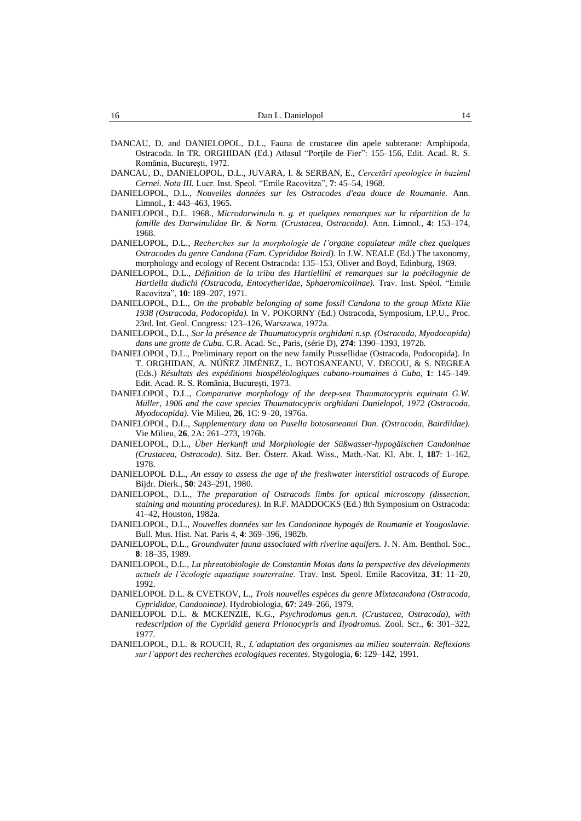- DANCAU, D. and DANIELOPOL, D.L., Fauna de crustacee din apele subterane: Amphipoda, Ostracoda. In TR. ORGHIDAN (Ed.) Atlasul "Porţile de Fier": 155–156, Edit. Acad. R. S. România, București, 1972.
- DANCAU, D., DANIELOPOL, D.L., JUVARA, I. & SERBAN, E., *Cercetări speologice în bazinul Cernei. Nota III.* Lucr. Inst. Speol. "Emile Racovitza", **7**: 45–54, 1968.
- DANIELOPOL, D.L., *Nouvelles données sur les Ostracodes d'eau douce de Roumanie.* Ann. Limnol., **1**: 443–463, 1965.
- DANIELOPOL, D.L. 1968., *Microdarwinula n. g. et quelques remarques sur la répartition de la famille des Darwinulidae Br. & Norm. (Crustacea, Ostracoda).* Ann. Limnol*.*, **4**: 153–174, 1968.
- DANIELOPOL, D.L., *Recherches sur la morphologie de l'organe copulateur mâle chez quelques Ostracodes du genre Candona (Fam. Cyprididae Baird).* In J.W. NEALE (Ed.) The taxonomy, morphology and ecology of Recent Ostracoda: 135–153, Oliver and Boyd, Edinburg, 1969.
- DANIELOPOL, D.L., *Définition de la tribu des Hartiellini et remarques sur la poécilogynie de Hartiella dudichi (Ostracoda, Entocytheridae, Sphaeromicolinae).* Trav. Inst. Spéol. "Emile Racovitza", **10**: 189–207, 1971.
- DANIELOPOL, D.L., *On the probable belonging of some fossil Candona to the group Mixta Klie 1938 (Ostracoda, Podocopida).* In V. POKORNY (Ed.) Ostracoda, Symposium, I.P.U., Proc. 23rd. Int. Geol. Congress*:* 123–126, Warszawa, 1972a.
- DANIELOPOL, D.L., *Sur la présence de Thaumatocypris orghidani n.sp. (Ostracoda, Myodocopida) dans une grotte de Cuba.* C.R. Acad. Sc., Paris, (série D), **274**: 1390–1393, 1972b.
- DANIELOPOL, D.L., Preliminary report on the new family Pussellidae (Ostracoda, Podocopida). In T. ORGHIDAN, A. [NÚÑEZ JIMÉNEZ,](https://www.semanticscholar.org/author/Antonio-N%C3%BA%C3%B1ez-Jim%C3%A9nez/104342698) [L. BOTOSANEANU,](https://www.semanticscholar.org/author/Lazar-Botosaneanu/48499772) V. [DECOU,](https://www.semanticscholar.org/author/V.-Decou/122841555) & S. [NEGREA](https://www.semanticscholar.org/author/%C8%98t.-Negrea/123835511) (Eds.) *Résultats des expéditions biospéléologiques cubano-roumaines à Cuba*, **1**: 145–149. Edit. Acad. R. S. România, București, 1973.
- DANIELOPOL, D.L., *Comparative morphology of the deep-sea Thaumatocypris equinata G.W. Müller, 1906 and the cave species Thaumatocypris orghidani Danielopol, 1972 (Ostracoda, Myodocopida).* Vie Milieu, **26**, 1C: 9–20, 1976a.
- DANIELOPOL, D.L., *Supplementary data on Pusella botosaneanui Dan. (Ostracoda, Bairdiidae).*  Vie Milieu, **26**, 2A: 261–273, 1976b.
- DANIELOPOL, D.L., *Über Herkunft und Morphologie der Süßwasser-hypogäischen Candoninae (Crustacea, Ostracoda).* Sitz. Ber. Österr. Akad. Wiss., Math.-Nat. Kl. Abt. I, **187**: 1–162, 1978.
- DANIELOPOL D.L., *An essay to assess the age of the freshwater interstitial ostracods of Europe.*  Bijdr. Dierk., **50**: 243–291, 1980.
- DANIELOPOL, D.L., *The preparation of Ostracods limbs for optical microscopy (dissection, staining and mounting procedures).* In R.F. MADDOCKS (Ed.) 8th Symposium on Ostracoda: 41–42, Houston, 1982a.
- DANIELOPOL, D.L., *Nouvelles données sur les Candoninae hypogés de Roumanie et Yougoslavie.*  Bull. Mus. Hist. Nat. Paris 4, **4**: 369–396, 1982b.
- DANIELOPOL, D.L., *Groundwater fauna associated with riverine aquifers.* J. N. Am. Benthol. Soc., **8**: 18–35, 1989.
- DANIELOPOL, D.L., *La phreatobiologie de Constantin Motas dans la perspective des dévelopments actuels de l'écologie aquatique souterraine.* Trav. Inst. Speol. Emile Racovitza, **31**: 11–20, 1992.
- DANIELOPOL D.L. & CVETKOV, L., *Trois nouvelles espèces du genre Mixtacandona (Ostracoda, Cyprididae, Candoninae).* Hydrobiologia, **67**: 249–266, 1979.
- DANIELOPOL D.L. & MCKENZIE, K.G., *Psychrodomus gen.n. (Crustacea, Ostracoda), with redescription of the Cypridid genera Prionocypris and Ilyodromus.* Zool. Scr., **6**: 301–322, 1977.
- DANIELOPOL, D.L. & ROUCH, R., *L'adaptation des organismes au milieu souterrain. Reflexions sur l'apport des recherches ecologiques recentes*. Stygologia*,* **6**: 129–142, 1991.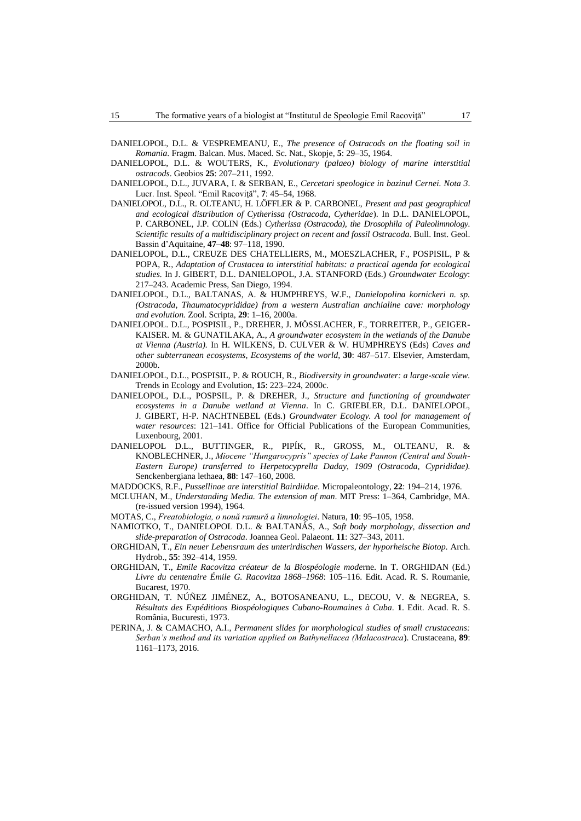- DANIELOPOL, D.L. & VESPREMEANU, E., *The presence of Ostracods on the floating soil in Romania*. Fragm. Balcan. Mus. Maced. Sc. Nat., Skopje, **5**: 29–35, 1964.
- DANIELOPOL, D.L. & WOUTERS, K., *Evolutionary (palaeo) biology of marine interstitial ostracods*. Geobios **25**: 207–211, 1992.
- DANIELOPOL, D.L., JUVARA, I. & SERBAN, E., *Cercetari speologice in bazinul Cernei. Nota 3*. Lucr. Inst. Speol. "Emil Racoviţă", **7**: 45–54, 1968.
- DANIELOPOL, D.L., R. OLTEANU, H. LÖFFLER & P. CARBONEL, *Present and past geographical and ecological distribution of Cytherissa (Ostracoda, Cytheridae*). In D.L. DANIELOPOL, P. CARBONEL, J.P. COLIN (Eds.) *Cytherissa (Ostracoda), the Drosophila of Paleolimnology. Scientific results of a multidisciplinary project on recent and fossil Ostracoda*. Bull. Inst. Geol. Bassin d'Aquitaine, **47–48**: 97–118, 1990.
- DANIELOPOL, D.L., CREUZE DES CHATELLIERS, M., MOESZLACHER, F., POSPISIL, P & POPA, R., *Adaptation of Crustacea to interstitial habitats: a practical agenda for ecological studies.* In J. GIBERT, D.L. DANIELOPOL, J.A. STANFORD (Eds.) *Groundwater Ecology*: 217–243. Academic Press, San Diego, 1994.
- DANIELOPOL, D.L., BALTANAS, A. & HUMPHREYS, W.F., *Danielopolina kornickeri n. sp. (Ostracoda, Thaumatocyprididae) from a western Australian anchialine cave: morphology and evolution.* Zool. Scripta, **29**: 1–16, 2000a.
- DANIELOPOL. D.L., POSPISIL, P., DREHER, J. MÖSSLACHER, F., TORREITER, P., GEIGER-KAISER. M. & GUNATILAKA, A., *A groundwater ecosystem in the wetlands of the Danube at Vienna (Austria).* In H. WILKENS, D. CULVER & W. HUMPHREYS (Eds) *Caves and other subterranean ecosystems, Ecosystems of the world*, **30**: 487–517. Elsevier, Amsterdam, 2000b.
- DANIELOPOL, D.L., POSPISIL, P. & ROUCH, R., *Biodiversity in groundwater: a large-scale view.*  Trends in Ecology and Evolution, **15**: 223–224, 2000c.
- DANIELOPOL, D.L., POSPSIL, P. & DREHER, J., *Structure and functioning of groundwater ecosystems in a Danube wetland at Vienna*. In C. GRIEBLER, D.L. DANIELOPOL, J. GIBERT, H-P. NACHTNEBEL (Eds.) *Groundwater Ecology. A tool for management of water resources*: 121–141. Office for Official Publications of the European Communities, Luxenbourg, 2001.
- DANIELOPOL D.L., BUTTINGER, R., PIPÍK, R., GROSS, M., OLTEANU, R. & KNOBLECHNER, J., *Miocene "Hungarocypris" species of Lake Pannon (Central and South-Eastern Europe) transferred to Herpetocyprella Daday, 1909 (Ostracoda, Cyprididae).* Senckenbergiana lethaea, **88**: 147–160, 2008.
- MADDOCKS, R.F., *Pussellinae are interstitial Bairdiidae*. Micropaleontology, **22**: 194–214, 1976.
- MCLUHAN, M., *Understanding Media. The extension of man*. MIT Press: 1–364, Cambridge, MA. (re-issued version 1994), 1964.
- MOTAS, C., *Freatobiologia, o nouă ramură a limnologiei*. Natura, **10**: 95–105, 1958.
- NAMIOTKO, T., DANIELOPOL D.L. & BALTANÁS, A., *Soft body morphology, dissection and slide-preparation of Ostracoda*. Joannea Geol. Palaeont. **11**: 327–343, 2011.
- ORGHIDAN, T., *Ein neuer Lebensraum des unterirdischen Wassers, der hyporheische Biotop.* Arch. Hydrob., **55**: 392–414, 1959.
- ORGHIDAN, T., *Emile Racovitza créateur de la Biospéologie mode*rne. In T. ORGHIDAN (Ed.) *Livre du centenaire Émile G. Racovitza 1868–1968*: 105–116. Edit. Acad. R. S. Roumanie, Bucarest, 1970.
- ORGHIDAN, T. [NÚÑEZ JIMÉNEZ,](https://www.semanticscholar.org/author/Antonio-N%C3%BA%C3%B1ez-Jim%C3%A9nez/104342698) A., [BOTOSANEANU,](https://www.semanticscholar.org/author/Lazar-Botosaneanu/48499772) L., [DECOU,](https://www.semanticscholar.org/author/V.-Decou/122841555) V. & [NEGREA,](https://www.semanticscholar.org/author/%C8%98t.-Negrea/123835511) S. *Résultats des Expéditions Biospéologiques Cubano-Roumaines à Cuba*. **1**. Edit. Acad. R. S. România, Bucuresti, 1973.
- PERINA, J. & CAMACHO, A.I., *Permanent slides for morphological studies of small crustaceans: Serban's method and its variation applied on Bathynellacea (Malacostraca*). Crustaceana, **89**: 1161–1173, 2016.